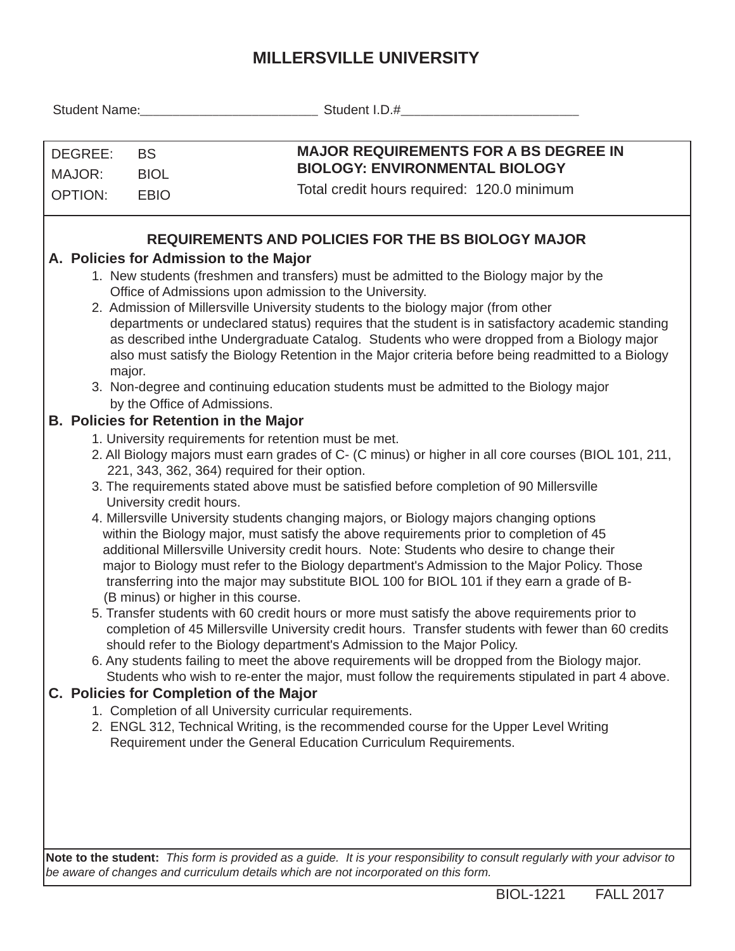## **MILLERSVILLE UNIVERSITY**

|                                                                                                                                                                                                                                                                                                                                                                                                                                                                                                                                                                                                                                                                                                                                                                                                                                                                                                                                                                                                                                                                                                                                                                                                                                                                                                                                                                                                                                                                                                                                                                                                                                                                                                                                                                                                                                                                                                                                                                                                                                                                                                                                                                                                                                                                                                                                                                                                                                                                          | Student Name: The Contract of the Contract of the Contract of the Contract of the Contract of the Contract of the Contract of the Contract of the Contract of the Contract of the Contract of the Contract of the Contract of |  |
|--------------------------------------------------------------------------------------------------------------------------------------------------------------------------------------------------------------------------------------------------------------------------------------------------------------------------------------------------------------------------------------------------------------------------------------------------------------------------------------------------------------------------------------------------------------------------------------------------------------------------------------------------------------------------------------------------------------------------------------------------------------------------------------------------------------------------------------------------------------------------------------------------------------------------------------------------------------------------------------------------------------------------------------------------------------------------------------------------------------------------------------------------------------------------------------------------------------------------------------------------------------------------------------------------------------------------------------------------------------------------------------------------------------------------------------------------------------------------------------------------------------------------------------------------------------------------------------------------------------------------------------------------------------------------------------------------------------------------------------------------------------------------------------------------------------------------------------------------------------------------------------------------------------------------------------------------------------------------------------------------------------------------------------------------------------------------------------------------------------------------------------------------------------------------------------------------------------------------------------------------------------------------------------------------------------------------------------------------------------------------------------------------------------------------------------------------------------------------|-------------------------------------------------------------------------------------------------------------------------------------------------------------------------------------------------------------------------------|--|
| <b>MAJOR REQUIREMENTS FOR A BS DEGREE IN</b><br>DEGREE:<br><b>BS</b><br><b>BIOLOGY: ENVIRONMENTAL BIOLOGY</b><br>MAJOR:<br><b>BIOL</b><br>Total credit hours required: 120.0 minimum<br><b>OPTION:</b><br><b>EBIO</b>                                                                                                                                                                                                                                                                                                                                                                                                                                                                                                                                                                                                                                                                                                                                                                                                                                                                                                                                                                                                                                                                                                                                                                                                                                                                                                                                                                                                                                                                                                                                                                                                                                                                                                                                                                                                                                                                                                                                                                                                                                                                                                                                                                                                                                                    |                                                                                                                                                                                                                               |  |
| <b>REQUIREMENTS AND POLICIES FOR THE BS BIOLOGY MAJOR</b><br>A. Policies for Admission to the Major<br>1. New students (freshmen and transfers) must be admitted to the Biology major by the<br>Office of Admissions upon admission to the University.<br>2. Admission of Millersville University students to the biology major (from other<br>departments or undeclared status) requires that the student is in satisfactory academic standing<br>as described inthe Undergraduate Catalog. Students who were dropped from a Biology major<br>also must satisfy the Biology Retention in the Major criteria before being readmitted to a Biology<br>major.<br>3. Non-degree and continuing education students must be admitted to the Biology major<br>by the Office of Admissions.<br><b>B. Policies for Retention in the Major</b><br>1. University requirements for retention must be met.<br>2. All Biology majors must earn grades of C- (C minus) or higher in all core courses (BIOL 101, 211,<br>221, 343, 362, 364) required for their option.<br>3. The requirements stated above must be satisfied before completion of 90 Millersville<br>University credit hours.<br>4. Millersville University students changing majors, or Biology majors changing options<br>within the Biology major, must satisfy the above requirements prior to completion of 45<br>additional Millersville University credit hours. Note: Students who desire to change their<br>major to Biology must refer to the Biology department's Admission to the Major Policy. Those<br>transferring into the major may substitute BIOL 100 for BIOL 101 if they earn a grade of B-<br>(B minus) or higher in this course.<br>5. Transfer students with 60 credit hours or more must satisfy the above requirements prior to<br>completion of 45 Millersville University credit hours. Transfer students with fewer than 60 credits<br>should refer to the Biology department's Admission to the Major Policy.<br>6. Any students failing to meet the above requirements will be dropped from the Biology major.<br>Students who wish to re-enter the major, must follow the requirements stipulated in part 4 above.<br>C. Policies for Completion of the Major<br>1. Completion of all University curricular requirements.<br>2. ENGL 312, Technical Writing, is the recommended course for the Upper Level Writing<br>Requirement under the General Education Curriculum Requirements. |                                                                                                                                                                                                                               |  |

**Note to the student:** *This form is provided as a guide. It is your responsibility to consult regularly with your advisor to be aware of changes and curriculum details which are not incorporated on this form.*